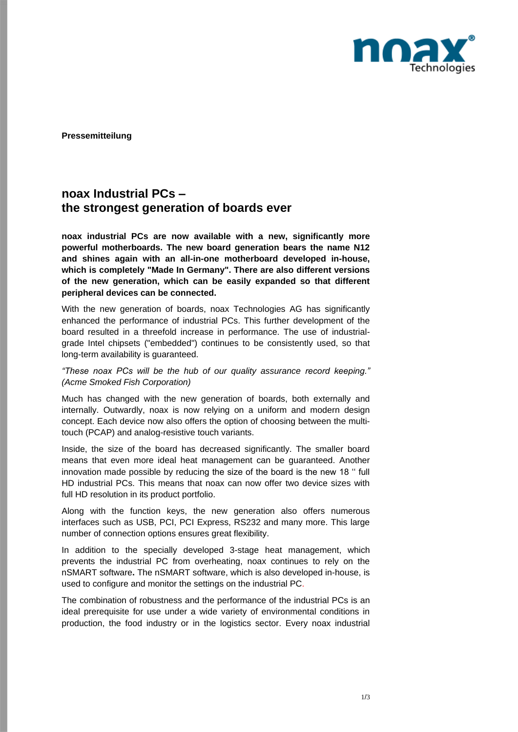

**Pressemitteilung**

## **noax Industrial PCs – the strongest generation of boards ever**

**noax industrial PCs are now available with a new, significantly more powerful motherboards. The new board generation bears the name N12 and shines again with an all-in-one motherboard developed in-house, which is completely "Made In Germany". There are also different versions of the new generation, which can be easily expanded so that different peripheral devices can be connected.**

With the new generation of boards, noax Technologies AG has significantly enhanced the performance of industrial PCs. This further development of the board resulted in a threefold increase in performance. The use of industrialgrade Intel chipsets ("embedded") continues to be consistently used, so that long-term availability is guaranteed.

*"These noax PCs will be the hub of our quality assurance record keeping." (Acme Smoked Fish Corporation)*

Much has changed with the new generation of boards, both externally and internally. Outwardly, noax is now relying on a uniform and modern design concept. Each device now also offers the option of choosing between the multitouch (PCAP) and analog-resistive touch variants.

Inside, the size of the board has decreased significantly. The smaller board means that even more ideal heat management can be guaranteed. Another innovation made possible by reducing the size of the board is the new 18 '' full HD industrial PCs. This means that noax can now offer two device sizes with full HD resolution in its product portfolio.

Along with the function keys, the new generation also offers numerous interfaces such as USB, PCI, PCI Express, RS232 and many more. This large number of connection options ensures great flexibility.

In addition to the specially developed 3-stage heat management, which prevents the industrial PC from overheating, noax continues to rely on the nSMART software**.** The nSMART software, which is also developed in-house, is used to configure and monitor the settings on the industrial PC.

The combination of robustness and the performance of the industrial PCs is an ideal prerequisite for use under a wide variety of environmental conditions in production, the food industry or in the logistics sector. Every noax industrial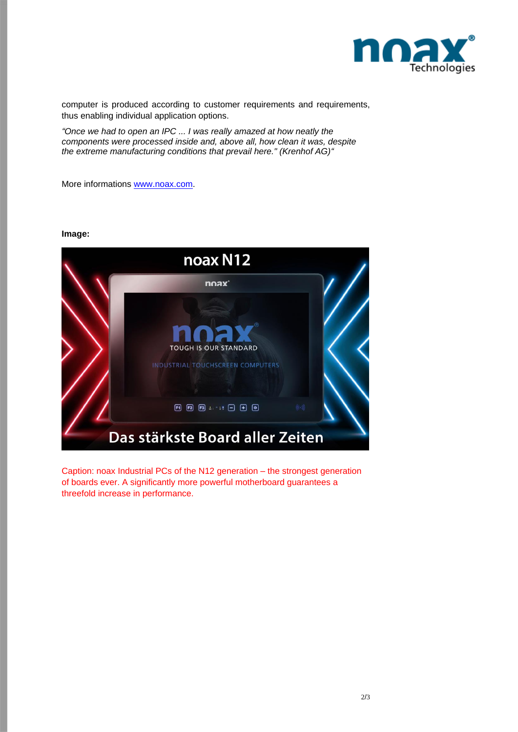

computer is produced according to customer requirements and requirements, thus enabling individual application options.

*"Once we had to open an IPC ... I was really amazed at how neatly the components were processed inside and, above all, how clean it was, despite the extreme manufacturing conditions that prevail here." (Krenhof AG)"*

More informations [www.noax.com.](http://www.noax.com/)

## **Image:**



Caption: noax Industrial PCs of the N12 generation – the strongest generation of boards ever. A significantly more powerful motherboard guarantees a threefold increase in performance.